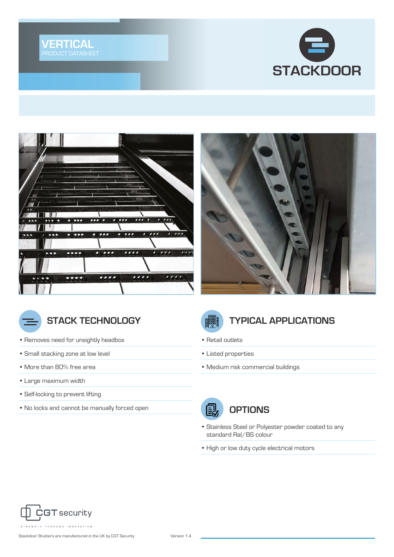









- Removes need for unsightly headbox
- Small stacking zone at low level
- More than 80% free area
- Large maximum width
- Self-locking to prevent lifting
- No locks and cannot be manually forced open



#### **STACK TECHNOLOGY THE STACK OF STACK TECHNOLOGY**

- Retail outlets
- Listed properties
- Medium risk commercial buildings



- Stainless Steel or Polyester powder coated to any standard Ral/BS colour
- High or low duty cycle electrical motors